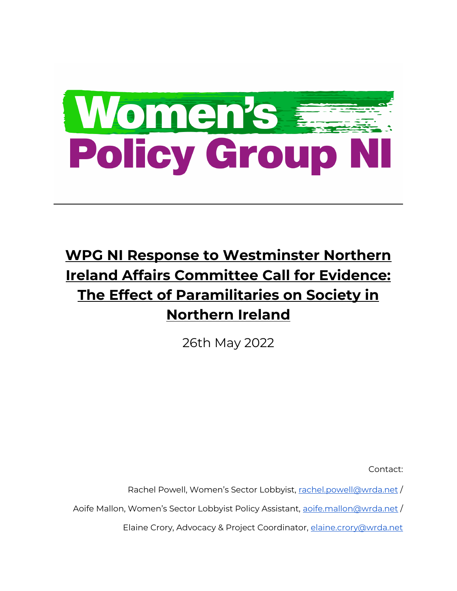

# **WPG NI Response to Westminster Northern Ireland Affairs Committee Call for Evidence: The Effect of Paramilitaries on Society in Northern Ireland**

26th May 2022

Contact:

Rachel Powell, Women's Sector Lobbyist, [rachel.powell@wrda.net](mailto:rachel.powell@wrda.net) /

Aoife Mallon, Women's Sector Lobbyist Policy Assistant, [aoife.mallon@wrda.net](mailto:aoife.mallon@wrda.net)/

Elaine Crory, Advocacy & Project Coordinator, [elaine.crory@wrda.net](mailto:elaine.crory@wrda.net)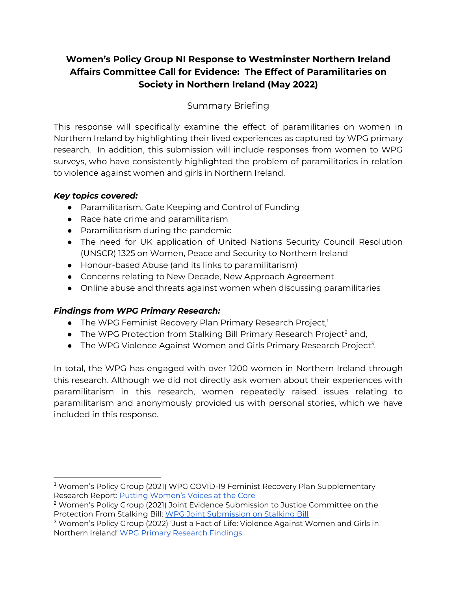# **Women's Policy Group NI Response to Westminster Northern Ireland Affairs Committee Call for Evidence: The Effect of Paramilitaries on Society in Northern Ireland (May 2022)**

# Summary Briefing

This response will specifically examine the effect of paramilitaries on women in Northern Ireland by highlighting their lived experiences as captured by WPG primary research. In addition, this submission will include responses from women to WPG surveys, who have consistently highlighted the problem of paramilitaries in relation to violence against women and girls in Northern Ireland.

# *Key topics covered:*

- Paramilitarism, Gate Keeping and Control of Funding
- Race hate crime and paramilitarism
- Paramilitarism during the pandemic
- The need for UK application of United Nations Security Council Resolution (UNSCR) 1325 on Women, Peace and Security to Northern Ireland
- Honour-based Abuse (and its links to paramilitarism)
- Concerns relating to New Decade, New Approach Agreement
- Online abuse and threats against women when discussing paramilitaries

# *Findings from WPG Primary Research:*

- The WPG Feminist Recovery Plan Primary Research Project,<sup>1</sup>
- The WPG Protection from Stalking Bill Primary Research Project<sup>2</sup> and,
- $\bullet$  The WPG Violence Against Women and Girls Primary Research Project<sup>3</sup>.

In total, the WPG has engaged with over 1200 women in Northern Ireland through this research. Although we did not directly ask women about their experiences with paramilitarism in this research, women repeatedly raised issues relating to paramilitarism and anonymously provided us with personal stories, which we have included in this response.

<sup>1</sup> Women's Policy Group (2021) WPG COVID-19 Feminist Recovery Plan Supplementary Research Report: **[Putting Women's Voices at the Core](https://wrda.net/wp-content/uploads/2021/07/WPG-Feminist-Recovery-Plan-Research-Report-Womens-Voices-at-the-Core.pdf)** 

<sup>2</sup> Women's Policy Group (2021) Joint Evidence Submission to Justice Committee on the Protection From Stalking Bill: [WPG Joint Submission on Stalking Bill](https://wrda.net/wp-content/uploads/2021/04/WPG-Joint-Submission-Protection-from-Stalking-Bill-16-04-2021.pdf)

<sup>3</sup> Women's Policy Group (2022) 'Just a Fact of Life: Violence Against Women and Girls in Northern Ireland' [WPG Primary Research Findings.](https://wrda.net/wp-content/uploads/2022/04/WPG-VAWG-Research-Report.pdf)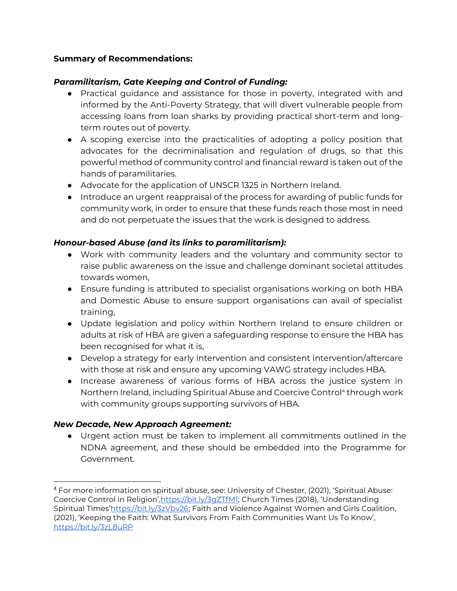#### **Summary of Recommendations:**

# *Paramilitarism, Gate Keeping and Control of Funding:*

- Practical guidance and assistance for those in poverty, integrated with and informed by the Anti-Poverty Strategy, that will divert vulnerable people from accessing loans from loan sharks by providing practical short-term and longterm routes out of poverty.
- A scoping exercise into the practicalities of adopting a policy position that advocates for the decriminalisation and regulation of drugs, so that this powerful method of community control and financial reward is taken out of the hands of paramilitaries.
- Advocate for the application of UNSCR 1325 in Northern Ireland.
- Introduce an urgent reappraisal of the process for awarding of public funds for community work, in order to ensure that these funds reach those most in need and do not perpetuate the issues that the work is designed to address.

# *Honour-based Abuse (and its links to paramilitarism):*

- Work with community leaders and the voluntary and community sector to raise public awareness on the issue and challenge dominant societal attitudes towards women,
- Ensure funding is attributed to specialist organisations working on both HBA and Domestic Abuse to ensure support organisations can avail of specialist training,
- Update legislation and policy within Northern Ireland to ensure children or adults at risk of HBA are given a safeguarding response to ensure the HBA has been recognised for what it is,
- Develop a strategy for early intervention and consistent intervention/aftercare with those at risk and ensure any upcoming VAWG strategy includes HBA.
- Increase awareness of various forms of HBA across the justice system in Northern Ireland, including Spiritual Abuse and Coercive Control<sup>4</sup> through work with community groups supporting survivors of HBA.

# *New Decade, New Approach Agreement:*

● Urgent action must be taken to implement all commitments outlined in the NDNA agreement, and these should be embedded into the Programme for Government.

<sup>4</sup> For more information on spiritual abuse, see: University of Chester, (2021), 'Spiritual Abuse: Coercive Control in Religion', https://bit.ly/3qZTfM1; Church Times (2018), 'Understanding Spiritual Times'[https://bit.ly/3zVbv26;](https://bit.ly/3zVbv26) Faith and Violence Against Women and Girls Coalition, (2021), 'Keeping the Faith: What Survivors From Faith Communities Want Us To Know', <https://bit.ly/3zL8uRP>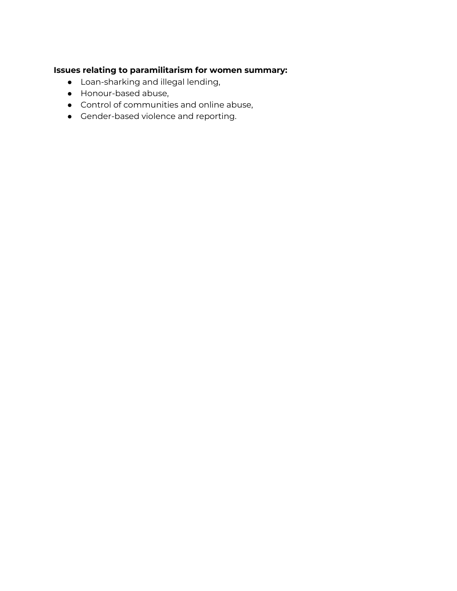# **Issues relating to paramilitarism for women summary:**

- Loan-sharking and illegal lending,
- Honour-based abuse,
- Control of communities and online abuse,
- Gender-based violence and reporting.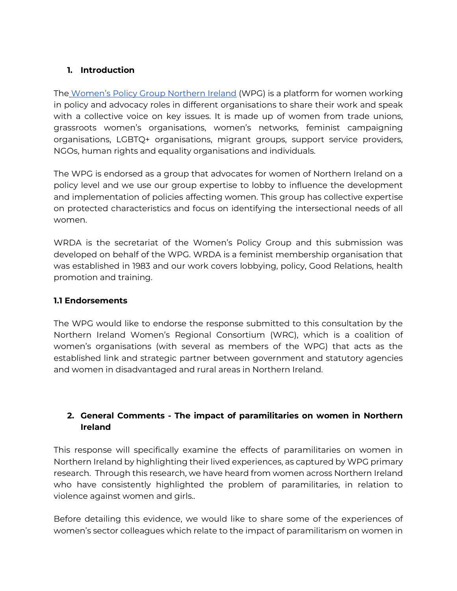# **1. Introduction**

Th[e](https://wrda.net/lobbying/womens-policy-group/) [Women's Policy Group Northern Ireland](https://wrda.net/lobbying/womens-policy-group/) (WPG) is a platform for women working in policy and advocacy roles in different organisations to share their work and speak with a collective voice on key issues. It is made up of women from trade unions, grassroots women's organisations, women's networks, feminist campaigning organisations, LGBTQ+ organisations, migrant groups, support service providers, NGOs, human rights and equality organisations and individuals.

The WPG is endorsed as a group that advocates for women of Northern Ireland on a policy level and we use our group expertise to lobby to influence the development and implementation of policies affecting women. This group has collective expertise on protected characteristics and focus on identifying the intersectional needs of all women.

WRDA is the secretariat of the Women's Policy Group and this submission was developed on behalf of the WPG. WRDA is a feminist membership organisation that was established in 1983 and our work covers lobbying, policy, Good Relations, health promotion and training.

#### **1.1 Endorsements**

The WPG would like to endorse the response submitted to this consultation by the Northern Ireland Women's Regional Consortium (WRC), which is a coalition of women's organisations (with several as members of the WPG) that acts as the established link and strategic partner between government and statutory agencies and women in disadvantaged and rural areas in Northern Ireland.

# **2. General Comments - The impact of paramilitaries on women in Northern Ireland**

This response will specifically examine the effects of paramilitaries on women in Northern Ireland by highlighting their lived experiences, as captured by WPG primary research. Through this research, we have heard from women across Northern Ireland who have consistently highlighted the problem of paramilitaries, in relation to violence against women and girls..

Before detailing this evidence, we would like to share some of the experiences of women's sector colleagues which relate to the impact of paramilitarism on women in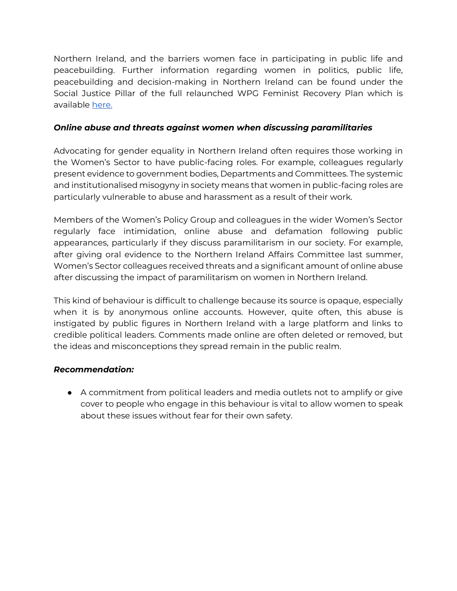Northern Ireland, and the barriers women face in participating in public life and peacebuilding. Further information regarding women in politics, public life, peacebuilding and decision-making in Northern Ireland can be found under the Social Justice Pillar of the full relaunched WPG Feminist Recovery Plan which is available [here.](https://wrda.net/wp-content/uploads/2021/07/WPG-COVID-19-Feminist-Recovery-Plan-Relaunch-One-Year-On.pdf)

#### *Online abuse and threats against women when discussing paramilitaries*

Advocating for gender equality in Northern Ireland often requires those working in the Women's Sector to have public-facing roles. For example, colleagues regularly present evidence to government bodies, Departments and Committees. The systemic and institutionalised misogyny in society means that women in public-facing roles are particularly vulnerable to abuse and harassment as a result of their work.

Members of the Women's Policy Group and colleagues in the wider Women's Sector regularly face intimidation, online abuse and defamation following public appearances, particularly if they discuss paramilitarism in our society. For example, after giving oral evidence to the Northern Ireland Affairs Committee last summer, Women's Sector colleagues received threats and a significant amount of online abuse after discussing the impact of paramilitarism on women in Northern Ireland.

This kind of behaviour is difficult to challenge because its source is opaque, especially when it is by anonymous online accounts. However, quite often, this abuse is instigated by public figures in Northern Ireland with a large platform and links to credible political leaders. Comments made online are often deleted or removed, but the ideas and misconceptions they spread remain in the public realm.

# *Recommendation:*

● A commitment from political leaders and media outlets not to amplify or give cover to people who engage in this behaviour is vital to allow women to speak about these issues without fear for their own safety.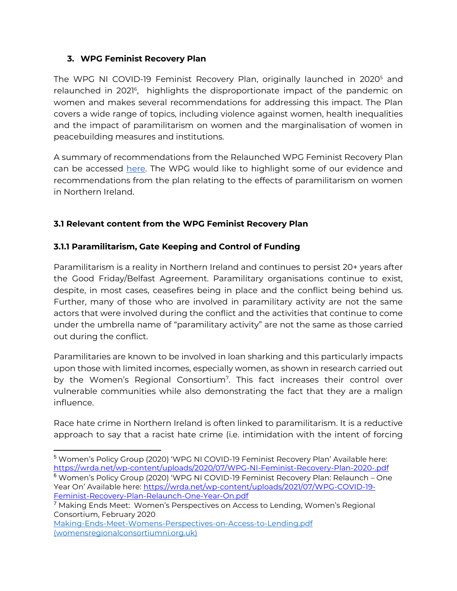# **3. WPG Feminist Recovery Plan**

The WPG NI COVID-19 Feminist Recovery Plan, originally launched in 2020<sup>5</sup> and relaunched in 2021<sup>6</sup>, highlights the disproportionate impact of the pandemic on women and makes several recommendations for addressing this impact. The Plan covers a wide range of topics, including violence against women, health inequalities and the impact of paramilitarism on women and the marginalisation of women in peacebuilding measures and institutions.

A summary of recommendations from the Relaunched WPG Feminist Recovery Plan can be accessed [here.](https://wrda.net/wp-content/uploads/2021/10/WPG-Feminist-Recovery-Plan-2021-Summary-of-Recommendations.pdf) The WPG would like to highlight some of our evidence and recommendations from the plan relating to the effects of paramilitarism on women in Northern Ireland.

# **3.1 Relevant content from the WPG Feminist Recovery Plan**

#### **3.1.1 Paramilitarism, Gate Keeping and Control of Funding**

Paramilitarism is a reality in Northern Ireland and continues to persist 20+ years after the Good Friday/Belfast Agreement. Paramilitary organisations continue to exist, despite, in most cases, ceasefires being in place and the conflict being behind us. Further, many of those who are involved in paramilitary activity are not the same actors that were involved during the conflict and the activities that continue to come under the umbrella name of "paramilitary activity" are not the same as those carried out during the conflict.

Paramilitaries are known to be involved in loan sharking and this particularly impacts upon those with limited incomes, especially women, as shown in research carried out by the Women's Regional Consortium<sup>7</sup>. This fact increases their control over vulnerable communities while also demonstrating the fact that they are a malign influence.

Race hate crime in Northern Ireland is often linked to paramilitarism. It is a reductive approach to say that a racist hate crime (i.e. intimidation with the intent of forcing

<sup>5</sup> Women's Policy Group (2020) 'WPG NI COVID-19 Feminist Recovery Plan' Available here: <https://wrda.net/wp-content/uploads/2020/07/WPG-NI-Feminist-Recovery-Plan-2020-.pdf> <sup>6</sup> Women's Policy Group (2020) 'WPG NI COVID-19 Feminist Recovery Plan: Relaunch – One Year On' Available here: [https://wrda.net/wp-content/uploads/2021/07/WPG-COVID-19-](https://wrda.net/wp-content/uploads/2021/07/WPG-COVID-19-Feminist-Recovery-Plan-Relaunch-One-Year-On.pdf) [Feminist-Recovery-Plan-Relaunch-One-Year-On.pdf](https://wrda.net/wp-content/uploads/2021/07/WPG-COVID-19-Feminist-Recovery-Plan-Relaunch-One-Year-On.pdf)

<sup>7</sup> Making Ends Meet: Women's Perspectives on Access to Lending, Women's Regional Consortium, February 2020

[Making-Ends-Meet-Womens-Perspectives-on-Access-to-Lending.pdf](https://womensregionalconsortiumni.org.uk/wp-content/uploads/2021/04/Making-Ends-Meet-Womens-Perspectives-on-Access-to-Lending.pdf)  [\(womensregionalconsortiumni.org.uk\)](https://womensregionalconsortiumni.org.uk/wp-content/uploads/2021/04/Making-Ends-Meet-Womens-Perspectives-on-Access-to-Lending.pdf)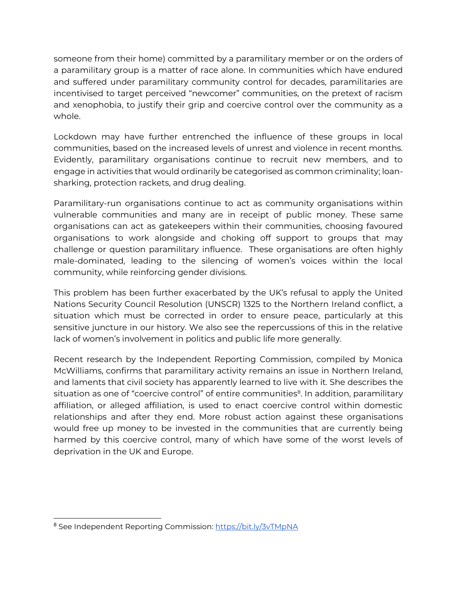someone from their home) committed by a paramilitary member or on the orders of a paramilitary group is a matter of race alone. In communities which have endured and suffered under paramilitary community control for decades, paramilitaries are incentivised to target perceived "newcomer" communities, on the pretext of racism and xenophobia, to justify their grip and coercive control over the community as a whole.

Lockdown may have further entrenched the influence of these groups in local communities, based on the increased levels of unrest and violence in recent months. Evidently, paramilitary organisations continue to recruit new members, and to engage in activities that would ordinarily be categorised as common criminality; loansharking, protection rackets, and drug dealing.

Paramilitary-run organisations continue to act as community organisations within vulnerable communities and many are in receipt of public money. These same organisations can act as gatekeepers within their communities, choosing favoured organisations to work alongside and choking off support to groups that may challenge or question paramilitary influence. These organisations are often highly male-dominated, leading to the silencing of women's voices within the local community, while reinforcing gender divisions.

This problem has been further exacerbated by the UK's refusal to apply the United Nations Security Council Resolution (UNSCR) 1325 to the Northern Ireland conflict, a situation which must be corrected in order to ensure peace, particularly at this sensitive juncture in our history. We also see the repercussions of this in the relative lack of women's involvement in politics and public life more generally.

Recent research by the Independent Reporting Commission, compiled by Monica McWilliams, confirms that paramilitary activity remains an issue in Northern Ireland, and laments that civil society has apparently learned to live with it. She describes the situation as one of "coercive control" of entire communities<sup>8</sup>. In addition, paramilitary affiliation, or alleged affiliation, is used to enact coercive control within domestic relationships and after they end. More robust action against these organisations would free up money to be invested in the communities that are currently being harmed by this coercive control, many of which have some of the worst levels of deprivation in the UK and Europe.

<sup>8</sup> See Independent Reporting Commission:<https://bit.ly/3vTMpNA>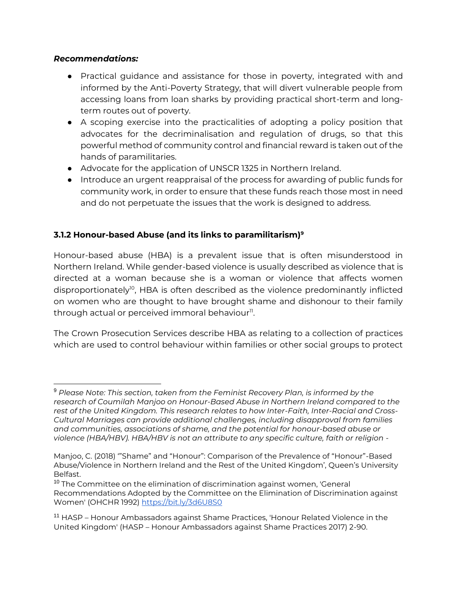#### *Recommendations:*

- Practical guidance and assistance for those in poverty, integrated with and informed by the Anti-Poverty Strategy, that will divert vulnerable people from accessing loans from loan sharks by providing practical short-term and longterm routes out of poverty.
- A scoping exercise into the practicalities of adopting a policy position that advocates for the decriminalisation and regulation of drugs, so that this powerful method of community control and financial reward is taken out of the hands of paramilitaries.
- Advocate for the application of UNSCR 1325 in Northern Ireland.
- Introduce an urgent reappraisal of the process for awarding of public funds for community work, in order to ensure that these funds reach those most in need and do not perpetuate the issues that the work is designed to address.

# **3.1.2 Honour-based Abuse (and its links to paramilitarism)<sup>9</sup>**

Honour-based abuse (HBA) is a prevalent issue that is often misunderstood in Northern Ireland. While gender-based violence is usually described as violence that is directed at a woman because she is a woman or violence that affects women disproportionately<sup>10</sup>, HBA is often described as the violence predominantly inflicted on women who are thought to have brought shame and dishonour to their family  $th$ rough actual or perceived immoral behaviour $^{\text{nl}}$ .

The Crown Prosecution Services describe HBA as relating to a collection of practices which are used to control behaviour within families or other social groups to protect

<sup>9</sup> *Please Note: This section, taken from the Feminist Recovery Plan, is informed by the research of Coumilah Manjoo on Honour-Based Abuse in Northern Ireland compared to the rest of the United Kingdom. This research relates to how Inter-Faith, Inter-Racial and Cross-Cultural Marriages can provide additional challenges, including disapproval from families and communities, associations of shame, and the potential for honour-based abuse or violence (HBA/HBV). HBA/HBV is not an attribute to any specific culture, faith or religion -*

Manjoo, C. (2018) '"Shame" and "Honour": Comparison of the Prevalence of "Honour"-Based Abuse/Violence in Northern Ireland and the Rest of the United Kingdom', Queen's University Belfast.

<sup>&</sup>lt;sup>10</sup> The Committee on the elimination of discrimination against women, 'General Recommendations Adopted by the Committee on the Elimination of Discrimination against Women' (OHCHR 1992)<https://bit.ly/3d6U8S0>

<sup>11</sup> HASP – Honour Ambassadors against Shame Practices, 'Honour Related Violence in the United Kingdom' (HASP – Honour Ambassadors against Shame Practices 2017) 2-90.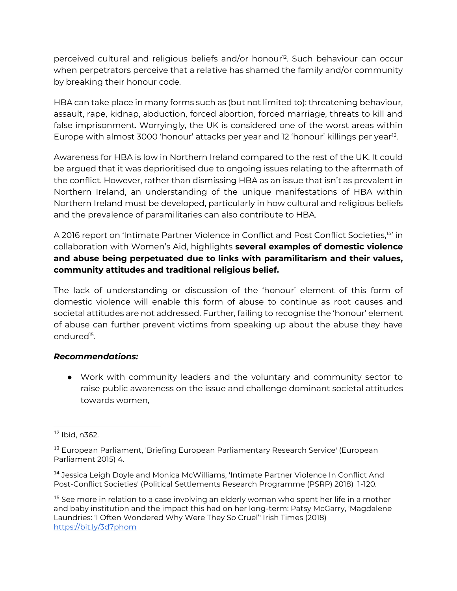perceived cultural and religious beliefs and/or honour<sup>12</sup>. Such behaviour can occur when perpetrators perceive that a relative has shamed the family and/or community by breaking their honour code.

HBA can take place in many forms such as (but not limited to): threatening behaviour, assault, rape, kidnap, abduction, forced abortion, forced marriage, threats to kill and false imprisonment. Worryingly, the UK is considered one of the worst areas within Europe with almost 3000 'honour' attacks per year and 12 'honour' killings per year<sup>13</sup>.

Awareness for HBA is low in Northern Ireland compared to the rest of the UK. It could be argued that it was deprioritised due to ongoing issues relating to the aftermath of the conflict. However, rather than dismissing HBA as an issue that isn't as prevalent in Northern Ireland, an understanding of the unique manifestations of HBA within Northern Ireland must be developed, particularly in how cultural and religious beliefs and the prevalence of paramilitaries can also contribute to HBA.

A 2016 report on 'Intimate Partner Violence in Conflict and Post Conflict Societies,<sup>14</sup>' in collaboration with Women's Aid, highlights **several examples of domestic violence and abuse being perpetuated due to links with paramilitarism and their values, community attitudes and traditional religious belief.** 

The lack of understanding or discussion of the 'honour' element of this form of domestic violence will enable this form of abuse to continue as root causes and societal attitudes are not addressed. Further, failing to recognise the 'honour' element of abuse can further prevent victims from speaking up about the abuse they have endured<sup>15</sup>.

#### *Recommendations:*

● Work with community leaders and the voluntary and community sector to raise public awareness on the issue and challenge dominant societal attitudes towards women,

<sup>12</sup> Ibid, n362.

<sup>13</sup> European Parliament, 'Briefing European Parliamentary Research Service' (European Parliament 2015) 4.

<sup>14</sup> Jessica Leigh Doyle and Monica McWilliams, 'Intimate Partner Violence In Conflict And Post-Conflict Societies' (Political Settlements Research Programme (PSRP) 2018) 1-120.

<sup>&</sup>lt;sup>15</sup> See more in relation to a case involving an elderly woman who spent her life in a mother and baby institution and the impact this had on her long-term: Patsy McGarry, 'Magdalene Laundries: 'I Often Wondered Why Were They So Cruel'' Irish Times (2018) <https://bit.ly/3d7phom>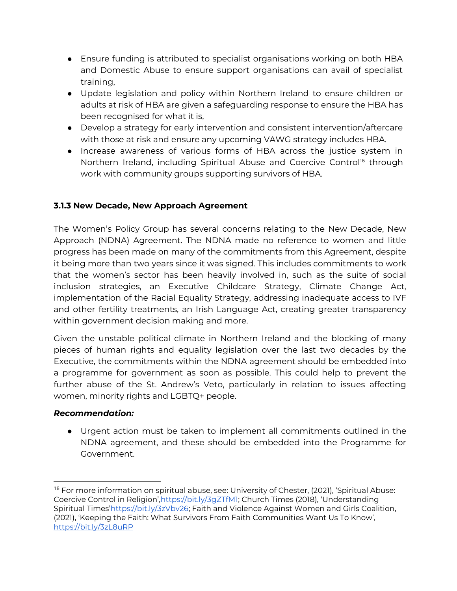- Ensure funding is attributed to specialist organisations working on both HBA and Domestic Abuse to ensure support organisations can avail of specialist training,
- Update legislation and policy within Northern Ireland to ensure children or adults at risk of HBA are given a safeguarding response to ensure the HBA has been recognised for what it is,
- Develop a strategy for early intervention and consistent intervention/aftercare with those at risk and ensure any upcoming VAWG strategy includes HBA.
- Increase awareness of various forms of HBA across the justice system in Northern Ireland, including Spiritual Abuse and Coercive Control<sup>16</sup> through work with community groups supporting survivors of HBA.

# **3.1.3 New Decade, New Approach Agreement**

The Women's Policy Group has several concerns relating to the New Decade, New Approach (NDNA) Agreement. The NDNA made no reference to women and little progress has been made on many of the commitments from this Agreement, despite it being more than two years since it was signed. This includes commitments to work that the women's sector has been heavily involved in, such as the suite of social inclusion strategies, an Executive Childcare Strategy, Climate Change Act, implementation of the Racial Equality Strategy, addressing inadequate access to IVF and other fertility treatments, an Irish Language Act, creating greater transparency within government decision making and more.

Given the unstable political climate in Northern Ireland and the blocking of many pieces of human rights and equality legislation over the last two decades by the Executive, the commitments within the NDNA agreement should be embedded into a programme for government as soon as possible. This could help to prevent the further abuse of the St. Andrew's Veto, particularly in relation to issues affecting women, minority rights and LGBTQ+ people.

#### *Recommendation:*

● Urgent action must be taken to implement all commitments outlined in the NDNA agreement, and these should be embedded into the Programme for Government.

<sup>16</sup> For more information on spiritual abuse, see: University of Chester, (2021), 'Spiritual Abuse: Coercive Control in Religion', https://bit.ly/3qZTfM1; Church Times (2018), 'Understanding Spiritual Times'[https://bit.ly/3zVbv26;](https://bit.ly/3zVbv26) Faith and Violence Against Women and Girls Coalition, (2021), 'Keeping the Faith: What Survivors From Faith Communities Want Us To Know', <https://bit.ly/3zL8uRP>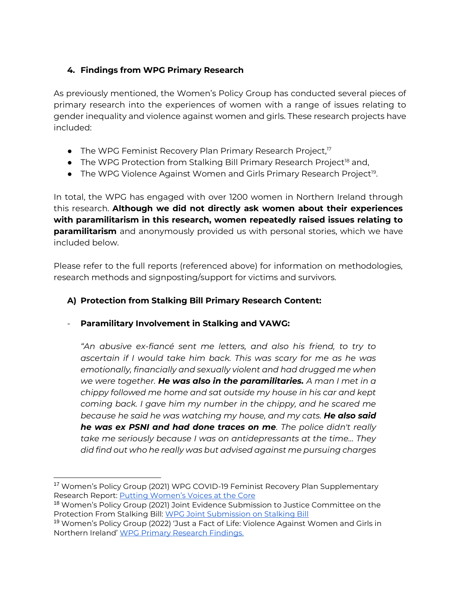# **4. Findings from WPG Primary Research**

As previously mentioned, the Women's Policy Group has conducted several pieces of primary research into the experiences of women with a range of issues relating to gender inequality and violence against women and girls. These research projects have included:

- $\bullet$  The WPG Feminist Recovery Plan Primary Research Project,<sup>17</sup>
- $\bullet$  The WPG Protection from Stalking Bill Primary Research Project<sup>18</sup> and,
- The WPG Violence Against Women and Girls Primary Research Project<sup>19</sup>.

In total, the WPG has engaged with over 1200 women in Northern Ireland through this research. **Although we did not directly ask women about their experiences with paramilitarism in this research, women repeatedly raised issues relating to paramilitarism** and anonymously provided us with personal stories, which we have included below.

Please refer to the full reports (referenced above) for information on methodologies, research methods and signposting/support for victims and survivors.

# **A) Protection from Stalking Bill Primary Research Content:**

# - **Paramilitary Involvement in Stalking and VAWG:**

*"An abusive ex-fiancé sent me letters, and also his friend, to try to ascertain if I would take him back. This was scary for me as he was emotionally, financially and sexually violent and had drugged me when we were together. He was also in the paramilitaries. A man I met in a chippy followed me home and sat outside my house in his car and kept coming back. I gave him my number in the chippy, and he scared me because he said he was watching my house, and my cats. He also said he was ex PSNI and had done traces on me. The police didn't really take me seriously because I was on antidepressants at the time… They did find out who he really was but advised against me pursuing charges* 

<sup>&</sup>lt;sup>17</sup> Women's Policy Group (2021) WPG COVID-19 Feminist Recovery Plan Supplementary Research Report: **[Putting Women's Voic](https://wrda.net/wp-content/uploads/2021/07/WPG-Feminist-Recovery-Plan-Research-Report-Womens-Voices-at-the-Core.pdf)es at the Core** 

<sup>&</sup>lt;sup>18</sup> Women's Policy Group (2021) Joint Evidence Submission to Justice Committee on the Protection From Stalking Bill: [WPG Joint Submission on Stalking Bill](https://wrda.net/wp-content/uploads/2021/04/WPG-Joint-Submission-Protection-from-Stalking-Bill-16-04-2021.pdf)

<sup>19</sup> Women's Policy Group (2022) 'Just a Fact of Life: Violence Against Women and Girls in Northern Ireland' [WPG Primary Research Findings.](https://wrda.net/wp-content/uploads/2022/04/WPG-VAWG-Research-Report.pdf)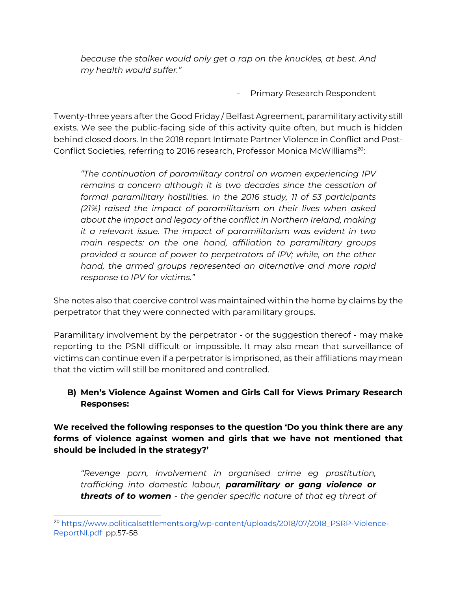*because the stalker would only get a rap on the knuckles, at best. And my health would suffer."* 

Primary Research Respondent

Twenty-three years after the Good Friday / Belfast Agreement, paramilitary activity still exists. We see the public-facing side of this activity quite often, but much is hidden behind closed doors. In the 2018 report Intimate Partner Violence in Conflict and Post-Conflict Societies, referring to 2016 research, Professor Monica McWilliams<sup>20</sup>:

*"The continuation of paramilitary control on women experiencing IPV*  remains a concern although it is two decades since the cessation of *formal paramilitary hostilities. In the 2016 study, 11 of 53 participants (21%) raised the impact of paramilitarism on their lives when asked about the impact and legacy of the conflict in Northern Ireland, making it a relevant issue. The impact of paramilitarism was evident in two main respects: on the one hand, affiliation to paramilitary groups provided a source of power to perpetrators of IPV; while, on the other hand, the armed groups represented an alternative and more rapid response to IPV for victims."*

She notes also that coercive control was maintained within the home by claims by the perpetrator that they were connected with paramilitary groups.

Paramilitary involvement by the perpetrator - or the suggestion thereof - may make reporting to the PSNI difficult or impossible. It may also mean that surveillance of victims can continue even if a perpetrator is imprisoned, as their affiliations may mean that the victim will still be monitored and controlled.

# **B) Men's Violence Against Women and Girls Call for Views Primary Research Responses:**

**We received the following responses to the question 'Do you think there are any forms of violence against women and girls that we have not mentioned that should be included in the strategy?'**

*"Revenge porn, involvement in organised crime eg prostitution, trafficking into domestic labour, paramilitary or gang violence or threats of to women - the gender specific nature of that eg threat of* 

<sup>&</sup>lt;sup>20</sup> [https://www.politicalsettlements.org/wp-content/uploads/2018/07/2018\\_PSRP-Violence-](https://www.politicalsettlements.org/wp-content/uploads/2018/07/2018_PSRP-Violence-ReportNI.pdf)[ReportNI.pdf](https://www.politicalsettlements.org/wp-content/uploads/2018/07/2018_PSRP-Violence-ReportNI.pdf) pp.57-58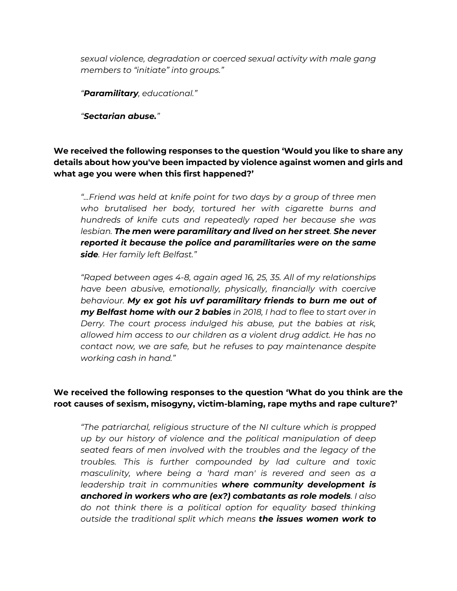*sexual violence, degradation or coerced sexual activity with male gang members to "initiate" into groups."*

*"Paramilitary, educational."*

*"Sectarian abuse."*

**We received the following responses to the question 'Would you like to share any details about how you've been impacted by violence against women and girls and what age you were when this first happened?'**

*"...Friend was held at knife point for two days by a group of three men who brutalised her body, tortured her with cigarette burns and hundreds of knife cuts and repeatedly raped her because she was lesbian. The men were paramilitary and lived on her street. She never reported it because the police and paramilitaries were on the same side. Her family left Belfast."*

*"Raped between ages 4-8, again aged 16, 25, 35. All of my relationships have been abusive, emotionally, physically, financially with coercive behaviour. My ex got his uvf paramilitary friends to burn me out of my Belfast home with our 2 babies in 2018, I had to flee to start over in Derry. The court process indulged his abuse, put the babies at risk, allowed him access to our children as a violent drug addict. He has no contact now, we are safe, but he refuses to pay maintenance despite working cash in hand."*

#### **We received the following responses to the question 'What do you think are the root causes of sexism, misogyny, victim-blaming, rape myths and rape culture?'**

*"The patriarchal, religious structure of the NI culture which is propped up by our history of violence and the political manipulation of deep seated fears of men involved with the troubles and the legacy of the troubles. This is further compounded by lad culture and toxic masculinity, where being a 'hard man' is revered and seen as a leadership trait in communities where community development is anchored in workers who are (ex?) combatants as role models. I also do not think there is a political option for equality based thinking outside the traditional split which means the issues women work to*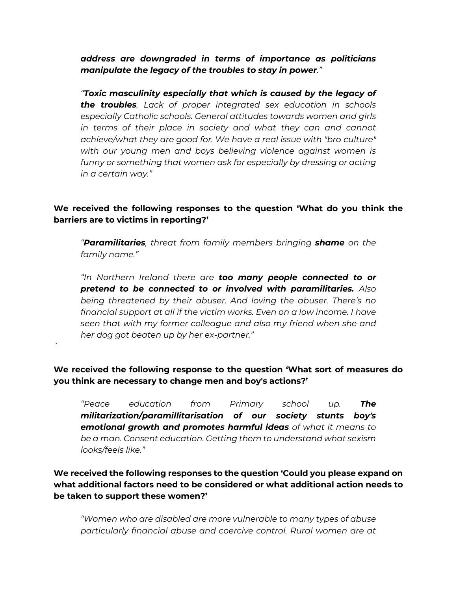*address are downgraded in terms of importance as politicians manipulate the legacy of the troubles to stay in power."*

*"Toxic masculinity especially that which is caused by the legacy of the troubles. Lack of proper integrated sex education in schools especially Catholic schools. General attitudes towards women and girls in terms of their place in society and what they can and cannot achieve/what they are good for. We have a real issue with "bro culture" with our young men and boys believing violence against women is funny or something that women ask for especially by dressing or acting in a certain way."*

## **We received the following responses to the question 'What do you think the barriers are to victims in reporting?'**

*"Paramilitaries, threat from family members bringing shame on the family name."*

*"In Northern Ireland there are too many people connected to or pretend to be connected to or involved with paramilitaries. Also being threatened by their abuser. And loving the abuser. There's no financial support at all if the victim works. Even on a low income. I have seen that with my former colleague and also my friend when she and her dog got beaten up by her ex-partner."*

**We received the following response to the question 'What sort of measures do you think are necessary to change men and boy's actions?'**

*`*

*"Peace education from Primary school up. The militarization/paramillitarisation of our society stunts boy's emotional growth and promotes harmful ideas of what it means to be a man. Consent education. Getting them to understand what sexism looks/feels like."*

# **We received the following responses to the question 'Could you please expand on what additional factors need to be considered or what additional action needs to be taken to support these women?'**

*"Women who are disabled are more vulnerable to many types of abuse particularly financial abuse and coercive control. Rural women are at*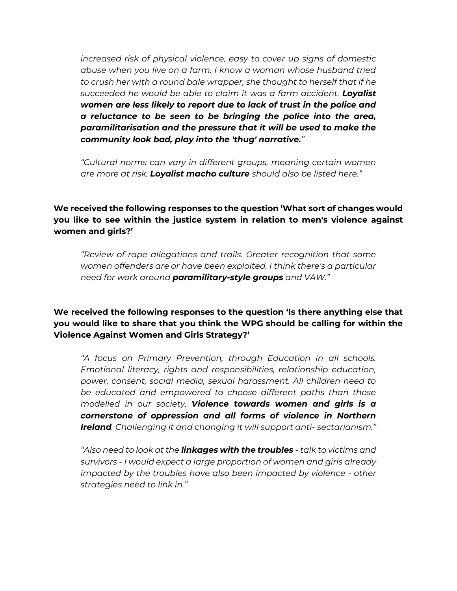*increased risk of physical violence, easy to cover up signs of domestic abuse when you live on a farm. I know a woman whose husband tried to crush her with a round bale wrapper, she thought to herself that if he succeeded he would be able to claim it was a farm accident. Loyalist women are less likely to report due to lack of trust in the police and a reluctance to be seen to be bringing the police into the area, paramilitarisation and the pressure that it will be used to make the community look bad, play into the 'thug' narrative."*

*"Cultural norms can vary in different groups, meaning certain women are more at risk. Loyalist macho culture should also be listed here."*

**We received the following responses to the question 'What sort of changes would you like to see within the justice system in relation to men's violence against women and girls?'**

*"Review of rape allegations and trails. Greater recognition that some women offenders are or have been exploited. I think there's a particular need for work around paramilitary-style groups and VAW."*

**We received the following responses to the question 'Is there anything else that you would like to share that you think the WPG should be calling for within the Violence Against Women and Girls Strategy?'**

*"A focus on Primary Prevention, through Education in all schools. Emotional literacy, rights and responsibilities, relationship education, power, consent, social media, sexual harassment. All children need to be educated and empowered to choose different paths than those modelled in our society. Violence towards women and girls is a cornerstone of oppression and all forms of violence in Northern Ireland. Challenging it and changing it will support anti- sectarianism."*

*"Also need to look at the linkages with the troubles - talk to victims and survivors - I would expect a large proportion of women and girls already impacted by the troubles have also been impacted by violence - other strategies need to link in."*